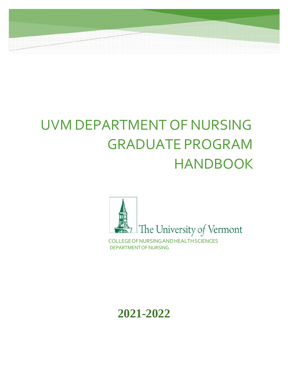# UVM DEPARTMENT OF NURSING GRADUATE PROGRAM HANDBOOK



DEPARTMENTOFNURSING

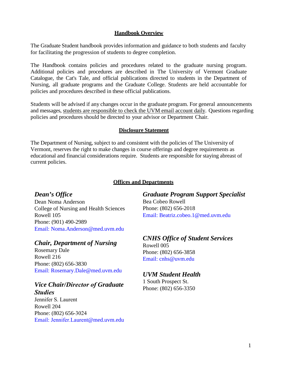#### **Handbook Overview**

The Graduate Student handbook provides information and guidance to both students and faculty for facilitating the progression of students to degree completion.

The Handbook contains policies and procedures related to the graduate nursing program. Additional policies and procedures are described in The University of Vermont Graduate Catalogue, the Cat's Tale, and official publications directed to students in the Department of Nursing, all graduate programs and the Graduate College. Students are held accountable for policies and procedures described in these official publications.

Students will be advised if any changes occur in the graduate program. For general announcements and messages, students are responsible to check the UVM email account daily. Questions regarding policies and procedures should be directed to your advisor or Department Chair.

#### **Disclosure Statement**

The Department of Nursing, subject to and consistent with the policies of The University of Vermont, reserves the right to make changes in course offerings and degree requirements as educational and financial considerations require. Students are responsible for staying abreast of current policies.

#### **Offices and Departments**

#### *Dean's Office*

Dean Noma Anderson College of Nursing and Health Sciences Rowell 105 Phone: (901) 490-2989 [Email: Noma.Anderson@med.uvm.edu](mailto:Noma.Anderson@med.uvm.edu) 

#### *Chair, Department of Nursing*

Rosemary Dale Rowell 216 Phone: (802) 656-3830 [Email: Rosemary.Dale@med.uvm.edu](mailto:Rosemary.Dale@med.uvm.edu) 

#### *Vice Chair/Director of Graduate Studies*

Jennifer S. Laurent Rowell 204 [Phone: \(802\) 656-](mailto:Melanie.keiffer@med.uvm.edu)3024 Email: Jennifer.Laurent@med.uvm.edu

#### *Graduate Program Support Specialist* Bea Cobeo Rowell Phone: (802) 656-2018 [Email: Beatriz.cobeo.1@med.uvm.edu](mailto:Beatriz.cobeo.1@med.uvm.edu)

## *CNHS Office of Student Services*

Rowell 005 Phone: (802) 656-3858 [Email: cnhs@uvm.edu](mailto:cnhs@uvm.edu) 

#### *UVM Student Health*

1 South Prospect St. Phone: (802) 656-3350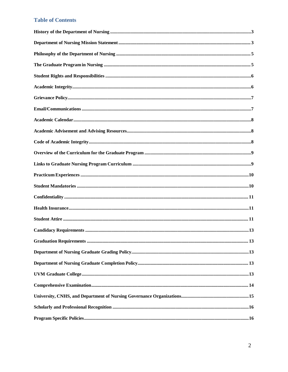#### **Table of Contents**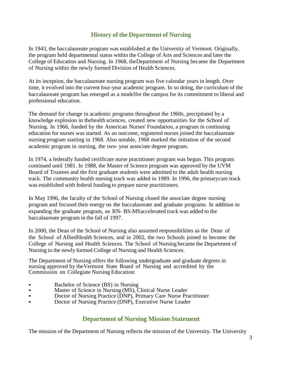#### **History of the Department of Nursing**

<span id="page-3-0"></span>In 1943, the baccalaureate program was established at the University of Vermont. Originally, the program held departmental status within the College of Arts and Sciences and later the College of Education and Nursing. In 1968, theDepartment of Nursing became the Department of Nursing within the newly formed Division of Health Sciences.

At its inception, the baccalaureate nursing program was five calendar years in length. Over time, it evolved into the current four-year academic program. In so doing, the curriculum of the baccalaureate program has emerged as a modelfor the campus for its commitment to liberal and professional education.

The demand for change in academic programs throughout the 1960s, precipitated by a knowledge explosion in thehealth sciences, created new opportunities for the School of Nursing. In 1966, funded by the American Nurses' Foundation, a program in continuing education for nurses was started. As an outcome, registered nurses joined the baccalaureate nursing program starting in 1968. Also notable, 1968 marked the initiation of the second academic program in nursing, the two- year associate degree program.

In 1974, a federally funded certificate nurse practitioner program was begun. This program continued until 1981. In 1988, the Master of Science program was approved by the UVM Board of Trustees and the first graduate students were admitted to the adult health nursing track. The community health nursing track was added in 1989. In 1996, the primarycare track was established with federal funding to prepare nurse practitioners.

In May 1996, the faculty of the School of Nursing closed the associate degree nursing program and focused their energy on the baccalaureate and graduate programs. In addition to expanding the graduate program, an RN- BS-MSaccelerated track was added to the baccalaureate program in the fall of 1997.

In 2000, the Dean of the School of Nursing also assumed responsibilities as the Dean of the School of AlliedHealth Sciences, and in 2002, the two Schools joined to become the College of Nursing and Health Sciences. The School of Nursing became the Department of Nursing in the newly formed College of Nursing and Health Sciences.

The Department of Nursing offers the following undergraduate and graduate degrees in nursing approved by theVermont State Board of Nursing and accredited by the Commission on Collegiate Nursing Education:

- 
- Bachelor of Science (BS) in Nursing<br>• Master of Science in Nursing (MS), Clinical Nurse Leader<br>• Doctor of Nursing Practice (DNP) Primary Care Nurse Pra
- Doctor of Nursing Practice (DNP), Primary Care Nurse Practitioner
- Doctor of Nursing Practice (DNP), Executive Nurse Leader

#### **Department of Nursing Mission Statement**

<span id="page-3-1"></span>The mission of the Department of Nursing reflects the mission of the University. The University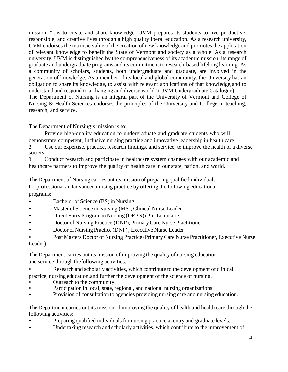mission, "...is to create and share knowledge. UVM prepares its students to live productive, responsible, and creative lives through a high qualityliberal education. As a research university, UVM endorses the intrinsic value of the creation of new knowledge and promotes the application of relevant knowledge to benefit the State of Vermont and society as a whole. As a research university, UVM is distinguished by the comprehensiveness of its academic mission, its range of graduate and undergraduate programs and its commitment to research-based lifelong learning. As a community of scholars, students, both undergraduate and graduate, are involved in the generation of knowledge. As a member of its local and global community, the University has an obligation to share its knowledge, to assist with relevant applications of that knowledge,and to understand and respond to a changing and diverse world" (UVM Undergraduate Catalogue). The Department of Nursing is an integral part of the University of Vermont and College of Nursing & Health Sciences endorses the principles of the University and College in teaching, research, and service.

The Department of Nursing's mission is to:

1. Provide high-quality education to undergraduate and graduate students who will demonstrate competent, inclusive nursing practice and innovative leadership in health care. 2. Use our expertise, practice, research findings, and service, to improve the health of a diverse society.

3. Conduct research and participate in healthcare system changes with our academic and healthcare partners to improve the quality of health care in our state, nation, and world.

The Department of Nursing carries out its mission of preparing qualified individuals for professional andadvanced nursing practice by offering the following educational programs:

- Bachelor of Science (BS) in Nursing
- Master of Science in Nursing (MS), Clinical Nurse Leader
- Direct EntryProgramin Nursing (DEPN) (Pre-Licensure)
- Doctor of Nursing Practice (DNP), PrimaryCare Nurse Practitioner
- Doctor of Nursing Practice (DNP), Executive Nurse Leader
- Post Masters Doctor of Nursing Practice (PrimaryCare Nurse Practitioner, Executive Nurse

Leader)

The Department carries out its mission of improving the quality of nursing education and service through thefollowing activities:

- Research and scholarly activities, which contribute to the development of clinical practice, nursing education,and further the development of the science of nursing.
- Outreach to the community.
- Participation in local, state, regional, and national nursing organizations.
- Provision of consultation to agencies providing nursing care and nursing education.

The Department carries out its mission of improving the quality of health and health care through the following activities:

- Preparing qualified individuals for nursing practice at entry and graduate levels.
- Undertaking research and scholarly activities, which contribute to the improvement of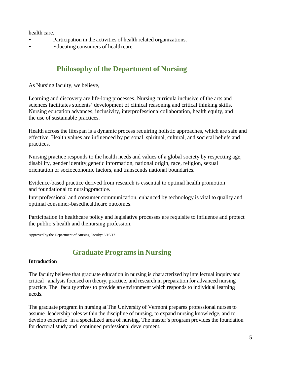health care.

- Participation in the activities of health related organizations.
- Educating consumers of health care.

## **Philosophy of the Department of Nursing**

<span id="page-5-0"></span>As Nursing faculty, we believe,

Learning and discovery are life-long processes. Nursing curricula inclusive of the arts and sciences facilitates students' development of clinical reasoning and critical thinking skills. Nursing education advances, inclusivity, interprofessional collaboration, health equity, and the use of sustainable practices.

Health across the lifespan is a dynamic process requiring holistic approaches, which are safe and effective. Health values are influenced by personal, spiritual, cultural, and societal beliefs and practices.

Nursing practice responds to the health needs and values of a global society by respecting age, disability, gender identity,genetic information, national origin, race, religion, sexual orientation or socioeconomic factors, and transcends national boundaries.

Evidence-based practice derived from research is essential to optimal health promotion and foundational to nursingpractice.

Interprofessional and consumer communication, enhanced by technology is vital to quality and optimal consumer-basedhealthcare outcomes.

Participation in healthcare policy and legislative processes are requisite to influence and protect the public's health and thenursing profession.

<span id="page-5-1"></span>Approved by the Department of Nursing Faculty: 5/16/17

### **Graduate Programsin Nursing**

#### **Introduction**

The faculty believe that graduate education in nursing is characterized by intellectual inquiry and critical analysis focused on theory, practice, and research in preparation for advanced nursing practice. The faculty strives to provide an environment which responds to individual learning needs.

The graduate program in nursing at The University of Vermont prepares professional nurses to assume leadership roles within the discipline of nursing, to expand nursing knowledge, and to develop expertise in a specialized area of nursing. The master's program provides the foundation for doctoral study and continued professional development.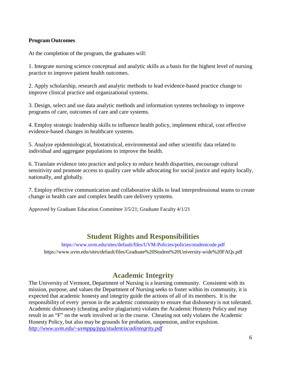#### **Program Outcomes**

At the completion of the program, the graduates will:

1. Integrate nursing science conceptual and analytic skills as a basis for the highest level of nursing practice to improve patient health outcomes.

2. Apply scholarship, research and analytic methods to lead evidence-based practice change to improve clinical practice and organizational systems.

3. Design, select and use data analytic methods and information systems technology to improve programs of care, outcomes of care and care systems.

4. Employ strategic leadership skills to influence health policy, implement ethical, cost effective evidence-based changes in healthcare systems.

5. Analyze epidemiological, biostatistical, environmental and other scientific data related to individual and aggregate populations to improve the health.

6. Translate evidence into practice and policy to reduce health disparities, encourage cultural sensitivity and promote access to quality care while advocating for social justice and equity locally, nationally, and globally.

7. Employ effective communication and collaborative skills to lead interprofessional teams to create change in health care and complex health care delivery systems.

Approved by Graduate Education Committee 3/5/21; Graduate Faculty 4/1/21

### **Student Rights and Responsibilities**

<https://www.uvm.edu/sites/default/files/UVM-Policies/policies/studentcode.pdf> https://www.uvm.edu/sites/default/files/Graduate%20Student%20University-wide%20FAQs.pdf

### **Academic Integrity**

<span id="page-6-0"></span>The University of Vermont, Department of Nursing is a learning community. Consistent with its mission, purpose, and values the Department of Nursing seeks to foster within its community, it is expected that academic honesty and integrity guide the actions of all of its members. It is the responsibility of every person in the academic community to ensure that dishonesty is not tolerated. Academic dishonesty (cheating and/or plagiarism) violates the Academic Honesty Policy and may result in an "F" on the work involved or in the course. Cheating not only violates the Academic Honesty Policy, but also may be grounds for probation, suspension, and/or expulsion. *[http://www.uvm.edu/~uvmppg/ppg/student/acadintegrity.pdf](http://www.uvm.edu/%7Euvmppg/ppg/student/acadintegrity.pdf)*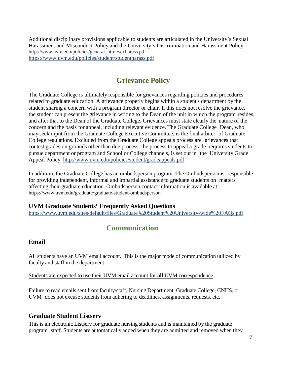Additional disciplinary provisions applicable to students are articulated in the University's Sexual Harassment and Misconduct Policy and the University's Discrimination and Harassment Policy. [http://www.uvm.edu/policies/general\\_html/sexharass.pdf](http://www.uvm.edu/policies/general_html/sexharass.pdf) <https://www.uvm.edu/policies/student/studentharass.pdf>

### **Grievance Policy**

<span id="page-7-0"></span>The Graduate College is ultimately responsible for grievances regarding policies and procedures related to graduate education. A grievance properly begins within a student's department by the student sharing a concern with a program director or chair. If this does not resolve the grievance, the student can present the grievance in writing to the Dean of the unit in which the program resides, and after that to the Dean of the Graduate College. Grievances must state clearly the nature of the concern and the basis for appeal, including relevant evidence. The Graduate College Dean, who may seek input from the Graduate College Executive Committee, is the final arbiter of Graduate College regulations. Excluded from the Graduate College appeals process are grievances that contest grades on grounds other than due process: the process to appeal a grade requires students to pursue department or program and School or College channels, is set out in the University Grade Appeal Policy, <http://www.uvm.edu/policies/student/gradeappeals.pdf>

In addition, the Graduate College has an ombudsperson program. The Ombudsperson is responsible for providing independent, informal and impartial assistance to graduate students on matters affecting their graduate education. Ombudsperson contact information is available at: https://www.uvm.edu/graduate/graduate-student-ombudsperson

#### **UVM Graduate Students' Frequently Asked Questions**

<span id="page-7-1"></span><https://www.uvm.edu/sites/default/files/Graduate%20Student%20University-wide%20FAQs.pdf>

# **Communication**

#### **Email**

All students have an UVM email account. This is the major mode of communication utilized by faculty and staff in the department.

Students are expected to use their UVM email account for **all** UVM correspondence.

Failure to read emails sent from faculty/staff, Nursing Department, Graduate College, CNHS, or UVM does not excuse students from adhering to deadlines, assignments, requests, etc.

#### **Graduate Student Listserv**

This is an electronic Listserv for graduate nursing students and is maintained by the graduate program staff. Students are automatically added when they are admitted and removed when they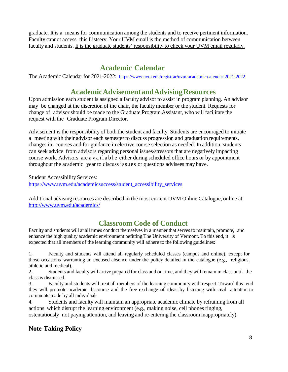graduate. It is a means for communication among the students and to receive pertinent information. Faculty cannot access this Listserv. Your UVM email is the method of communication between faculty and students. It is the graduate students' responsibility to check your UVM email regularly.

# **Academic Calendar**

<span id="page-8-0"></span>The Academic Calendar for 2021-2022: <https://www.uvm.edu/registrar/uvm-academic-calendar-2021-2022>

### **AcademicAdvisementandAdvisingResources**

<span id="page-8-1"></span>Upon admission each student is assigned a faculty advisor to assist in program planning. An advisor may be changed at the discretion of the chair, the faculty member or the student. Requests for change of advisor should be made to the Graduate Program Assistant, who will facilitate the request with the Graduate Program Director.

Advisement is the responsibility of both the student and faculty. Students are encouraged to initiate a meeting with their advisor each semester to discuss progression and graduation requirements, changes in courses and for guidance in elective course selection as needed. In addition, students can seek advice from advisors regarding personal issues/stressors that are negatively impacting course work. Advisors are available either during scheduled office hours or by appointment throughout the academic year to discuss issues or questions advisees may have.

Student Accessibility Services: https:/[/www.uvm.edu/academicsuccess/student\\_accessibility\\_services](http://www.uvm.edu/academicsuccess/student_accessibility_services)

Additional advising resources are described in the most current UVM Online Catalogue, online at: <http://www.uvm.edu/academics/>

## **Classroom Code of Conduct**

<span id="page-8-2"></span>Faculty and students will at all times conduct themselves in a manner that serves to maintain, promote, and enhance the high quality academic environment befitting The University of Vermont. To this end, it is expected that all members of the learning community will adhere to the following guidelines:

1. Faculty and students will attend all regularly scheduled classes (campus and online), except for those occasions warranting an excused absence under the policy detailed in the catalogue (e.g., religious, athletic and medical).

2. Students and faculty will arrive prepared for class and on time, and they will remain in class until the class is dismissed.

3. Faculty and students will treat all members of the learning community with respect. Toward this end they will promote academic discourse and the free exchange of ideas by listening with civil attention to comments made by all individuals.

4. Students and faculty will maintain an appropriate academic climate by refraining from all actions which disrupt the learning environment (e.g., making noise, cell phones ringing, ostentatiously not paying attention, and leaving and re-entering the classroom inappropriately).

### **Note-Taking Policy**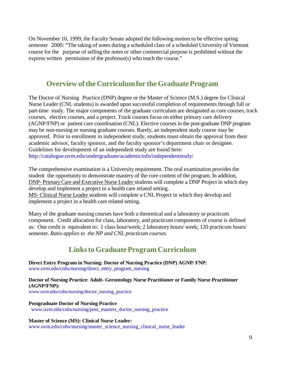On November 10, 1999, the Faculty Senate adopted the following motion to be effective spring semester 2000: "The taking of notes during a scheduled class of a scheduled University of Vermont course for the purpose of selling the notes or other commercial purpose is prohibited without the express written permission of the professor(s) who teach the course."

### **Overview of the Curriculum for the Graduate Program**

<span id="page-9-0"></span>The Doctor of Nursing Practice (DNP) degree or the Master of Science (M.S.) degree for Clinical Nurse Leader (CNL students) is awarded upon successful completion of requirements through full or part-time study. The major components of the graduate curriculum are designated as core courses, track courses, elective courses, and a project. Track courses focus on either primary care delivery (AGNP/FNP) or patient care coordination (CNL). Elective courses in the post-graduate DNP program may be non-nursing or nursing graduate courses. Rarely, an independent study course may be approved. Prior to enrollment in independent study, students must obtain the approval from their academic advisor, faculty sponsor, and the faculty sponsor's department chair or designee. Guidelines for development of an independent study are found here: [http://catalogue.uvm.edu/undergraduate/academicinfo/independentstudy/](https://nam02.safelinks.protection.outlook.com/?url=http%3A%2F%2Fcatalogue.uvm.edu%2Fundergraduate%2Facademicinfo%2Findependentstudy%2F&data=04%7C01%7Cbeatriz.cobeo.1%40med.uvm.edu%7C97e070017cbd4d58d72f08d8f523cf2d%7Ced03ff7aba9f420480a6b226316c919d%7C0%7C0%7C637528881439172462%7CUnknown%7CTWFpbGZsb3d8eyJWIjoiMC4wLjAwMDAiLCJQIjoiV2luMzIiLCJBTiI6Ik1haWwiLCJXVCI6Mn0%3D%7C1000&sdata=dPcVGlz4Rc%2BkF36QzooxiFUsQS5DICCemyLTnGZG8kw%3D&reserved=0)

The comprehensive examination is a University requirement. The oral examination provides the student the opportunity to demonstrate mastery of the core content of the program. In addition, DNP- PrimaryCare and Executive Nurse Leader students will complete a DNP Project in which they develop and implement a project in a health care related setting. MS- Clinical Nurse Leader students will complete a CNL Project in which they develop and implement a project in a health care related setting.

Many of the graduate nursing courses have both a theoretical and a laboratory or practicum component. Credit allocation for class, laboratory, and practicum components of course is defined as: One credit is equivalent to: 1 class hour/week; 2 laboratory hours/ week; 120 practicum hours/ semester. *Ratio applies to the NP and CNL practicum courses.*

## **Linksto Graduate Program Curriculum**

<span id="page-9-1"></span>**Direct Entry Program in Nursing: Doctor of Nursing Practice (DNP) AGNP/ FNP:** [www.uvm.edu/cnhs/nursing/direct\\_entry\\_program\\_nursing](http://www.uvm.edu/cnhs/nursing/direct_entry_program_nursing)

**Doctor of Nursing Practice: Adult- Gerontology Nurse Practitioner or Family Nurse Practitioner (AGNP/FNP):** [www.uvm.edu/cnhs/nursing/doctor\\_nursing\\_practice](http://www.uvm.edu/cnhs/nursing/doctor_nursing_practice)

**Postgraduate Doctor of Nursing Practice** [www.uvm.edu/cnhs/nursing/post\\_masters\\_doctor\\_nursing\\_practice](http://www.uvm.edu/cnhs/nursing/post_masters_doctor_nursing_practice)

**Master of Science (MS): Clinical Nurse Leader:** [www.uvm.edu/cnhs/nursing/master\\_science\\_nursing\\_clinical\\_nurse\\_leader](http://www.uvm.edu/cnhs/nursing/master_science_nursing_clinical_nurse_leader)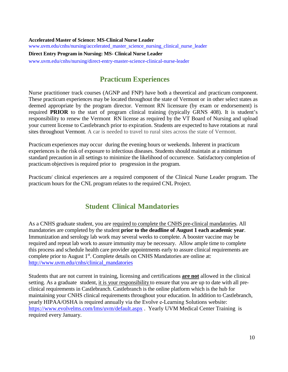**Accelerated Master of Science: MS-Clinical Nurse Leader** [www.uvm.edu/cnhs/nursing/accelerated\\_master\\_science\\_nursing\\_clinical\\_nurse\\_leader](http://www.uvm.edu/cnhs/nursing/accelerated_master_science_nursing_clinical_nurse_leader) **Direct Entry Program in Nursing: MS- Clinical Nurse Leader** [www.uvm.edu/cnhs/nursing/direct-entry-master-science-clinical-nurse-leader](http://www.uvm.edu/cnhs/nursing/direct-entry-master-science-clinical-nurse-leader)

### <span id="page-10-0"></span> **Practicum Experiences**

Nurse practitioner track courses (AGNP and FNP) have both a theoretical and practicum component. These practicum experiences may be located throughout the state of Vermont or in other select states as deemed appropriate by the program director. Vermont RN licensure (by exam or endorsement) is required **PRIOR** to the start of program clinical training (typically GRNS 408). It is student's responsibility to renew the Vermont RN license as required by the VT Board of Nursing and upload your current license to Castlebranch prior to expiration. Students are expected to have rotations at rural sites throughout Vermont. A car is needed to travel to rural sites across the state of Vermont.

Practicum experiences may occur during the evening hours or weekends. Inherent in practicum experiences is the risk of exposure to infectious diseases. Students should maintain at a minimum standard precaution in all settings to minimize the likelihood of occurrence. Satisfactory completion of practicum objectives is required prior to progression in the program.

Practicum/ clinical experiences are a required component of the Clinical Nurse Leader program. The practicum hours for the CNL program relates to the required CNL Project.

### **Student Clinical Mandatories**

<span id="page-10-1"></span>As a CNHS graduate student, you are required to complete the CNHS pre-clinical mandatories. All mandatories are completed by the student **prior to the deadline of August 1 each academic year**. Immunization and serology lab work may several weeks to complete. A booster vaccine may be required and repeat lab work to assure immunity may be necessary. Allow ample time to complete this process and schedule health care provider appointments early to assure clinical requirements are complete prior to August 1<sup>st</sup>. Complete details on CNHS Mandatories are online at: [http://www.uvm.edu/cnhs/clinical\\_mandatories](https://nam02.safelinks.protection.outlook.com/?url=http%3A%2F%2Fwww.uvm.edu%2Fcnhs%2Fclinical_mandatories&data=04%7C01%7Cbeatriz.cobeo.1%40med.uvm.edu%7Cdcf3fd3dc42f49ad895a08d8f5194f6d%7Ced03ff7aba9f420480a6b226316c919d%7C0%7C0%7C637528836351032453%7CUnknown%7CTWFpbGZsb3d8eyJWIjoiMC4wLjAwMDAiLCJQIjoiV2luMzIiLCJBTiI6Ik1haWwiLCJXVCI6Mn0%3D%7C1000&sdata=SRd1RHwq9FuIx%2B63ScsFU4RKynYHKUrlQ4aRd62WeMg%3D&reserved=0)

Students that are not current in training, licensing and certifications **are not** allowed in the clinical setting. As a graduate student, it is your responsibility to ensure that you are up to date with all preclinical requirements in Castlebranch. Castlebranch is the online platform which is the hub for maintaining your CNHS clinical requirements throughout your education. In addition to Castlebranch, yearly HIPAA/OSHA is required annually via the Evolve e‐Learning Solutions website: [https://www.evolvelms.com/lms/uvm/default.aspx](https://nam02.safelinks.protection.outlook.com/?url=https%3A%2F%2Fwww.evolvelms.com%2Flms%2Fuvm%2Fdefault.aspx&data=04%7C01%7Cbeatriz.cobeo.1%40med.uvm.edu%7Cdcf3fd3dc42f49ad895a08d8f5194f6d%7Ced03ff7aba9f420480a6b226316c919d%7C0%7C0%7C637528836351032453%7CUnknown%7CTWFpbGZsb3d8eyJWIjoiMC4wLjAwMDAiLCJQIjoiV2luMzIiLCJBTiI6Ik1haWwiLCJXVCI6Mn0%3D%7C1000&sdata=k2U5UlSSuRNSjDcppSboAY1U7YepMmm%2Bg6S2PFIDK1s%3D&reserved=0) . Yearly UVM Medical Center Training is required every January.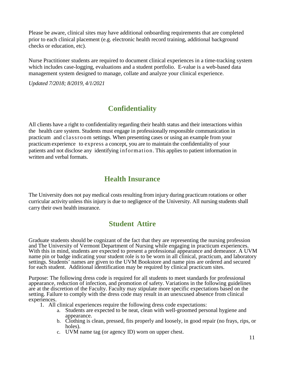Please be aware, clinical sites may have additional onboarding requirements that are completed prior to each clinical placement (e.g. electronic health record training, additional background checks or education, etc).

Nurse Practitioner students are required to document clinical experiences in a time-tracking system which includes case-logging, evaluations and a student portfolio. E-value is a web-based data management system designed to manage, collate and analyze your clinical experience.

*Updated 7/2018; 8/2019, 4/1/2021*

## **Confidentiality**

<span id="page-11-0"></span>All clients have a right to confidentiality regarding their health status and their interactions within the health care system. Students must engage in professionally responsible communication in practicum and classroom settings. When presenting cases or using an example from your practicum experience to express a concept, you are to maintain the confidentiality of your patients and not disclose any identifying information. This applies to patient information in written and verbal formats.

### **Health Insurance**

<span id="page-11-1"></span>The University does not pay medical costs resulting from injury during practicum rotations or other curricular activity unless this injury is due to negligence of the University. All nursing students shall carry their own health insurance.

### **Student Attire**

<span id="page-11-2"></span>Graduate students should be cognizant of the fact that they are representing the nursing profession and The University of Vermont Department of Nursing while engaging in practicum experiences. With this in mind, students are expected to present a professional appearance and demeanor. A UVM name pin or badge indicating your student role is to be worn in all clinical, practicum, and laboratory settings. Students' names are given to the UVM Bookstore and name pins are ordered and secured for each student. Additional identification may be required by clinical practicum sites.

Purpose: The following dress code is required for all students to meet standards for professional appearance, reduction of infection, and promotion of safety. Variations in the following guidelines are at the discretion of the Faculty. Faculty may stipulate more specific expectations based on the setting. Failure to comply with the dress code may result in an unexcused absence from clinical experiences.

- 1. All clinical experiences require the following dress code expectations:
	- a. Students are expected to be neat, clean with well-groomed personal hygiene and appearance.
	- b. Clothing is clean, pressed, fits properly and loosely, in good repair (no frays, rips, or holes).
	- c. UVM name tag (or agency ID) worn on upper chest.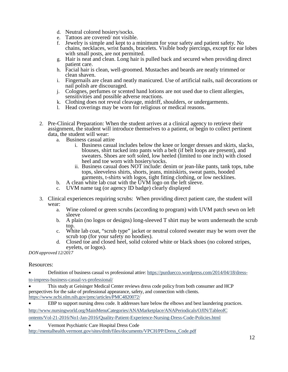- d. Neutral colored hosiery/socks.
- e. Tattoos are covered/ not visible.
- f. Jewelry is simple and kept to a minimum for your safety and patient safety. No chains, necklaces, wrist bands, bracelets. Visible body piercings, except for ear lobes with small posts, are not permitted.
- g. Hair is neat and clean. Long hair is pulled back and secured when providing direct patient care.
- h. Facial hair is clean, well-groomed. Mustaches and beards are neatly trimmed or clean shaven.
- i. Fingernails are clean and neatly manicured. Use of artificial nails, nail decorations or nail polish are discouraged.
- j. Colognes, perfumes or scented hand lotions are not used due to client allergies, sensitivities and possible adverse reactions.
- k. Clothing does not reveal cleavage, midriff, shoulders, or undergarments.
- l. Head coverings may be worn for religious or medical reasons.
- 2. Pre-Clinical Preparation: When the student arrives at a clinical agency to retrieve their assignment, the student will introduce themselves to a patient, or begin to collect pertinent data, the student will wear:
	- a. Business casual attire
		- i. Business casual includes below the knee or longer dresses and skirts, slacks, blouses, shirt tucked into pants with a belt (if belt loops are present), and sweaters. Shoes are soft soled, low heeled (limited to one inch) with closed heel and toe worn with hosiery/socks.
		- ii. Business casual does NOT include: denim or jean-like pants, tank tops, tube tops, sleeveless shirts, shorts, jeans, miniskirts, sweat pants, hooded garments, t-shirts with logos, tight fitting clothing, or low necklines.
	- b. A clean white lab coat with the UVM logo on the left sleeve.
	- c. UVM name tag (or agency ID badge) clearly displayed
- 3. Clinical experiences requiring scrubs: When providing direct patient care, the student will wear:
	- a. Wine colored or green scrubs (according to program) with UVM patch sewn on left sleeve
	- b. A plain (no logos or designs) long-sleeved T shirt may be worn underneath the scrub top.
	- c. White lab coat, "scrub type" jacket or neutral colored sweater may be worn over the scrub top (for your safety no hoodies).
	- d. Closed toe and closed heel, solid colored white or black shoes (no colored stripes, eyelets, or logos).

*DONapproved 12/2017*

Resources:

- Definition of business casual vs professional attire: [https://purduecco.wordpress.com/2014/04/18/dress](https://purduecco.wordpress.com/2014/04/18/dress-to-impress-business-casual-vs-professional/)[to-impress-business-casual-vs-professional/](https://purduecco.wordpress.com/2014/04/18/dress-to-impress-business-casual-vs-professional/)
- This study at Geisinger Medical Center reviews dress code policy from both consumer and HCP perspectives for the sake of professional appearance, safety, and connection with clients. <https://www.ncbi.nlm.nih.gov/pmc/articles/PMC4820072/>
- EBP to support nursing dress code. It addresses bare below the elbows and best laundering practices.

[http://www.nursingworld.org/MainMenuCategories/ANAMarketplace/ANAPeriodicals/OJIN/TableofC](http://www.nursingworld.org/MainMenuCategories/ANAMarketplace/ANAPeriodicals/OJIN/TableofContents/Vol-21-2016/No1-Jan-2016/Quality-Patient-Experience-Nursing-Dress-Code-Policies.html) 

[ontents/Vol-21-2016/No1-Jan-2016/Quality-Patient-Experience-Nursing-Dress-Code-Policies.html](http://www.nursingworld.org/MainMenuCategories/ANAMarketplace/ANAPeriodicals/OJIN/TableofContents/Vol-21-2016/No1-Jan-2016/Quality-Patient-Experience-Nursing-Dress-Code-Policies.html)

• Vermont Psychiatric Care Hospital Dress Code

[http://mentalhealth.vermont.gov/sites/dmh/files/documents/VPCH/PP/Dress\\_Code.pdf](http://mentalhealth.vermont.gov/sites/dmh/files/documents/VPCH/PP/Dress_Code.pdf)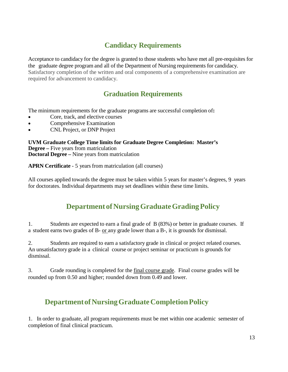# **Candidacy Requirements**

<span id="page-13-0"></span>Acceptance to candidacy for the degree is granted to those students who have met all pre-requisites for the graduate degree program and all of the Department of Nursing requirements for candidacy. Satisfactory completion of the written and oral components of a comprehensive examination are required for advancement to candidacy.

# **Graduation Requirements**

<span id="page-13-1"></span>The minimum requirements for the graduate programs are successful completion of**:**

- Core, track, and elective courses
- Comprehensive Examination
- CNL Project, or DNP Project

**UVM Graduate College Time limits for Graduate Degree Completion: Master's Degree –** Five years from matriculation **Doctoral Degree –** Nine years from matriculation

**APRN Certificate** - 5 years from matriculation (all courses)

All courses applied towards the degree must be taken within 5 years for master's degrees, 9 years for doctorates. Individual departments may set deadlines within these time limits.

# **DepartmentofNursingGraduateGradingPolicy**

<span id="page-13-2"></span>1. Students are expected to earn a final grade of B (83%) or better in graduate courses. If a student earns two grades of B- or any grade lower than a B-, it is grounds for dismissal.

2. Students are required to earn a satisfactory grade in clinical or project related courses. An unsatisfactory grade in a clinical course or project seminar or practicum is grounds for dismissal.

3. Grade rounding is completed for the final course grade. Final course grades will be rounded up from 0.50 and higher; rounded down from 0.49 and lower.

# <span id="page-13-3"></span>**DepartmentofNursingGraduateCompletionPolicy**

1. In order to graduate, all program requirements must be met within one academic semester of completion of final clinical practicum.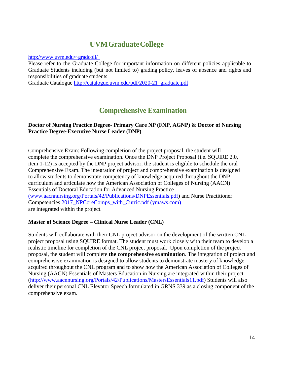### **UVMGraduateCollege**

<span id="page-14-0"></span>[http://www.uvm.edu/~gradcoll/](http://www.uvm.edu/%7Egradcoll/)

Please refer to the Graduate College for important information on different policies applicable to Graduate Students including (but not limited to) grading policy, leaves of absence and rights and responsibilities of graduate students.

Graduate Catalogue [http://catalogue.uvm.edu/pdf/2020-21\\_graduate.pdf](http://catalogue.uvm.edu/pdf/2020-21_graduate.pdf)

### **Comprehensive Examination**

#### <span id="page-14-1"></span>**Doctor of Nursing Practice Degree- Primary Care NP (FNP, AGNP) & Doctor of Nursing Practice Degree-Executive Nurse Leader (DNP)**

Comprehensive Exam: Following completion of the project proposal, the student will complete the comprehensive examination. Once the DNP Project Proposal (i.e. SQUIRE 2.0, item 1-12) is accepted by the DNP project advisor, the student is eligible to schedule the oral Comprehensive Exam. The integration of project and comprehensive examination is designed to allow students to demonstrate competency of knowledge acquired throughout the DNP curriculum and articulate how the American Association of Colleges of Nursing (AACN) Essentials of Doctoral Education for Advanced Nursing Practice [\(www.aacnnursing.org/Portals/42/Publications/DNPEssentials.pdf\)](http://(www.aacnnursing.org/Portals/42/Publications/DNPEssentials.pdf) and Nurse Practitioner Competencies 2017 NPCoreComps with Curric.pdf (ymaws.com) are integrated within the project.

#### **Master of Science Degree – Clinical Nurse Leader (CNL)**

Students will collaborate with their CNL project advisor on the development of the written CNL project proposal using SQUIRE format. The student must work closely with their team to develop a realistic timeline for completion of the CNL project proposal. Upon completion of the project proposal, the student will complete **the comprehensive examination**. The integration of project and comprehensive examination is designed to allow students to demonstrate mastery of knowledge acquired throughout the CNL program and to show how the American Association of Colleges of Nursing (AACN) Essentials of Masters Education in Nursing are integrated within their project. [\(http://www.aacnnursing.org/Portals/42/Publications/MastersEssentials11.pdf\)](https://nam02.safelinks.protection.outlook.com/?url=http%3A%2F%2Fwww.aacnnursing.org%2FPortals%2F42%2FPublications%2FMastersEssentials11.pdf&data=04%7C01%7Cbeatriz.cobeo.1%40med.uvm.edu%7C618321e0f4ca4470394d08d8f5117b05%7Ced03ff7aba9f420480a6b226316c919d%7C0%7C0%7C637528802707537218%7CUnknown%7CTWFpbGZsb3d8eyJWIjoiMC4wLjAwMDAiLCJQIjoiV2luMzIiLCJBTiI6Ik1haWwiLCJXVCI6Mn0%3D%7C1000&sdata=tXCcPIaSReYtlgF5TJnDQyp6U9BF5TSJTNY7BlK8x70%3D&reserved=0) Students will also deliver their personal CNL Elevator Speech formulated in GRNS 339 as a closing component of the comprehensive exam.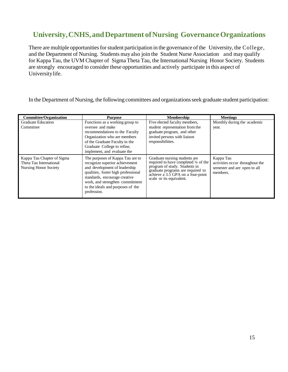# <span id="page-15-0"></span>**University,CNHS,andDepartment ofNursing GovernanceOrganizations**

There are multiple opportunities for student participation in the governance of the University, the College, and the Department of Nursing. Students may also join the Student Nurse Association and may qualify for Kappa Tau, the UVM Chapter of Sigma Theta Tau, the International Nursing Honor Society. Students are strongly encouraged to consider these opportunities and actively participate in this aspect of Universitylife.

In the Department of Nursing, the following committees and organizations seek graduate student participation:

| <b>Committee/Organization</b>                                                         | <b>Purpose</b>                                                                                                                                                                                                                                                     | <b>Membership</b>                                                                                                                                                                                               | <b>Meetings</b>                                                                          |
|---------------------------------------------------------------------------------------|--------------------------------------------------------------------------------------------------------------------------------------------------------------------------------------------------------------------------------------------------------------------|-----------------------------------------------------------------------------------------------------------------------------------------------------------------------------------------------------------------|------------------------------------------------------------------------------------------|
| <b>Graduate Education</b>                                                             | Functions as a working group to                                                                                                                                                                                                                                    | Five elected faculty members,                                                                                                                                                                                   | Monthly during the academic                                                              |
| Committee                                                                             | oversee and make<br>recommendations to the Faculty<br>Organization who are members<br>of the Graduate Faculty in the<br>Graduate College to refine.<br>implement, and evaluate the                                                                                 | student representation from the<br>graduate program, and other<br>invited persons with liaison<br>responsibilities.                                                                                             | year.                                                                                    |
| Kappa Tau Chapter of Sigma<br>Theta Tau International<br><b>Nursing Honor Society</b> | The purposes of Kappa Tau are to<br>recognize superior achievement<br>and development of leadership<br>qualities, foster high professional<br>standards, encourage creative<br>work, and strengthen commitment<br>to the ideals and purposes of the<br>profession. | Graduate nursing students are<br>required to have completed 1/4 of the<br>program of study. Students in<br>graduate programs are required to<br>achieve $a$ 3.5 GPA on a four-point<br>scale or its equivalent. | Kappa Tau<br>activities occur throughout the<br>semester and are open to all<br>members. |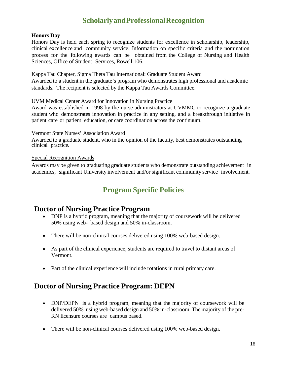# **ScholarlyandProfessionalRecognition**

#### <span id="page-16-0"></span>**Honors Day**

Honors Day is held each spring to recognize students for excellence in scholarship, leadership, clinical excellence and community service. Information on specific criteria and the nomination process for the following awards can be obtained from the College of Nursing and Health Sciences, Office of Student Services, Rowell 106.

#### Kappa Tau Chapter, Sigma Theta Tau International: Graduate Student Award

Awarded to a student in the graduate's program who demonstrates high professional and academic standards. The recipient is selected by the Kappa Tau Awards Committee.

#### UVM Medical Center Award for Innovation in Nursing Practice

Award was established in 1998 by the nurse administrators at UVMMC to recognize a graduate student who demonstrates innovation in practice in any setting, and a breakthrough initiative in patient care or patient education, or care coordination across the continuum.

#### Vermont State Nurses' Association Award

Awarded to a graduate student, who in the opinion of the faculty, best demonstrates outstanding clinical practice.

#### Special Recognition Awards

Awards may be given to graduating graduate students who demonstrate outstanding achievement in academics, significant University involvement and/or significant community service involvement.

### **Program Specific Policies**

#### **Doctor of Nursing Practice Program**

- DNP is a hybrid program, meaning that the majority of coursework will be delivered 50% using web- based design and 50% in-classroom.
- There will be non-clinical courses delivered using 100% web-based design.
- As part of the clinical experience, students are required to travel to distant areas of Vermont.
- Part of the clinical experience will include rotations in rural primary care.

### **Doctor of Nursing Practice Program: DEPN**

- DNP/DEPN is a hybrid program, meaning that the majority of coursework will be delivered 50% using web-based design and 50% in-classroom. The majority of the pre-RN licensure courses are campus based.
- There will be non-clinical courses delivered using 100% web-based design.